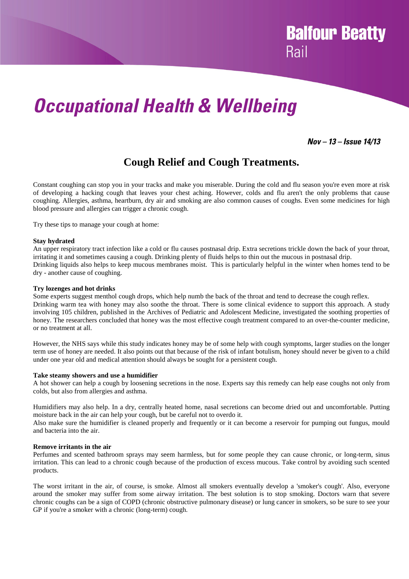# *Occupational Health & Wellbeing*

### *Nov – 13 – Issue 14/13*

**Balfour Beatty** 

Rail

### **Cough Relief and Cough Treatments.**

Constant coughing can stop you in your tracks and make you miserable. During the cold and flu season you're even more at risk of developing a hacking cough that leaves your chest aching. However, colds and flu aren't the only problems that cause coughing. Allergies, asthma, heartburn, dry air and smoking are also common causes of coughs. Even some medicines for high blood pressure and allergies can trigger a chronic cough.

Try these tips to manage your cough at home:

### **Stay hydrated**

An upper respiratory tract infection like a cold or flu causes postnasal drip. Extra secretions trickle down the back of your throat, irritating it and sometimes causing a cough. Drinking plenty of fluids helps to thin out the mucous in postnasal drip. Drinking liquids also helps to keep mucous membranes moist. This is particularly helpful in the winter when homes tend to be dry - another cause of coughing.

### **Try lozenges and hot drinks**

Some experts suggest menthol cough drops, which help numb the back of the throat and tend to decrease the cough reflex. Drinking warm tea with honey may also soothe the throat. There is some clinical evidence to support this approach. A study involving 105 children, published in the Archives of Pediatric and Adolescent Medicine, investigated the soothing properties of honey. The researchers concluded that honey was the most effective cough treatment compared to an over-the-counter medicine, or no treatment at all.

However, the NHS says while this study indicates honey may be of some help with cough symptoms, larger studies on the longer term use of honey are needed. It also points out that because of the risk of infant botulism, honey should never be given to a child under one year old and medical attention should always be sought for a persistent cough.

#### **Take steamy showers and use a humidifier**

A hot shower can help a cough by loosening secretions in the nose. Experts say this remedy can help ease coughs not only from colds, but also from allergies and asthma.

Humidifiers may also help. In a dry, centrally heated home, nasal secretions can become dried out and uncomfortable. Putting moisture back in the air can help your cough, but be careful not to overdo it.

Also make sure the humidifier is cleaned properly and frequently or it can become a reservoir for pumping out fungus, mould and bacteria into the air.

### **Remove irritants in the air**

Perfumes and scented bathroom sprays may seem harmless, but for some people they can cause chronic, or long-term, sinus irritation. This can lead to a chronic cough because of the production of excess mucous. Take control by avoiding such scented products.

The worst irritant in the air, of course, is smoke. Almost all smokers eventually develop a 'smoker's cough'. Also, everyone around the smoker may suffer from some airway irritation. The best solution is to stop smoking. Doctors warn that severe chronic coughs can be a sign of COPD (chronic obstructive pulmonary disease) or lung cancer in smokers, so be sure to see your GP if you're a smoker with a chronic (long-term) cough.